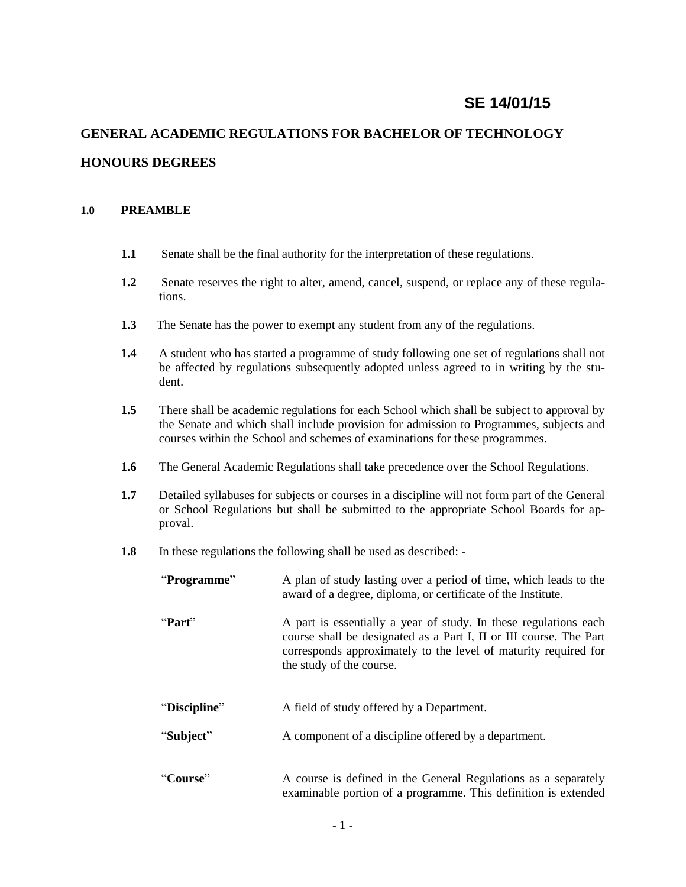# **SE 14/01/15**

# **GENERAL ACADEMIC REGULATIONS FOR BACHELOR OF TECHNOLOGY HONOURS DEGREES**

#### **1.0 PREAMBLE**

- **1.1** Senate shall be the final authority for the interpretation of these regulations.
- **1.2** Senate reserves the right to alter, amend, cancel, suspend, or replace any of these regulations.
- **1.3** The Senate has the power to exempt any student from any of the regulations.
- **1.4** A student who has started a programme of study following one set of regulations shall not be affected by regulations subsequently adopted unless agreed to in writing by the student.
- **1.5** There shall be academic regulations for each School which shall be subject to approval by the Senate and which shall include provision for admission to Programmes, subjects and courses within the School and schemes of examinations for these programmes.
- **1.6** The General Academic Regulations shall take precedence over the School Regulations.
- **1.7** Detailed syllabuses for subjects or courses in a discipline will not form part of the General or School Regulations but shall be submitted to the appropriate School Boards for approval.
- **1.8** In these regulations the following shall be used as described: -

| "Programme"  | A plan of study lasting over a period of time, which leads to the<br>award of a degree, diploma, or certificate of the Institute.                                                                                                     |
|--------------|---------------------------------------------------------------------------------------------------------------------------------------------------------------------------------------------------------------------------------------|
| "Part"       | A part is essentially a year of study. In these regulations each<br>course shall be designated as a Part I, II or III course. The Part<br>corresponds approximately to the level of maturity required for<br>the study of the course. |
| "Discipline" | A field of study offered by a Department.                                                                                                                                                                                             |
| "Subject"    | A component of a discipline offered by a department.                                                                                                                                                                                  |
| "Course"     | A course is defined in the General Regulations as a separately<br>examinable portion of a programme. This definition is extended                                                                                                      |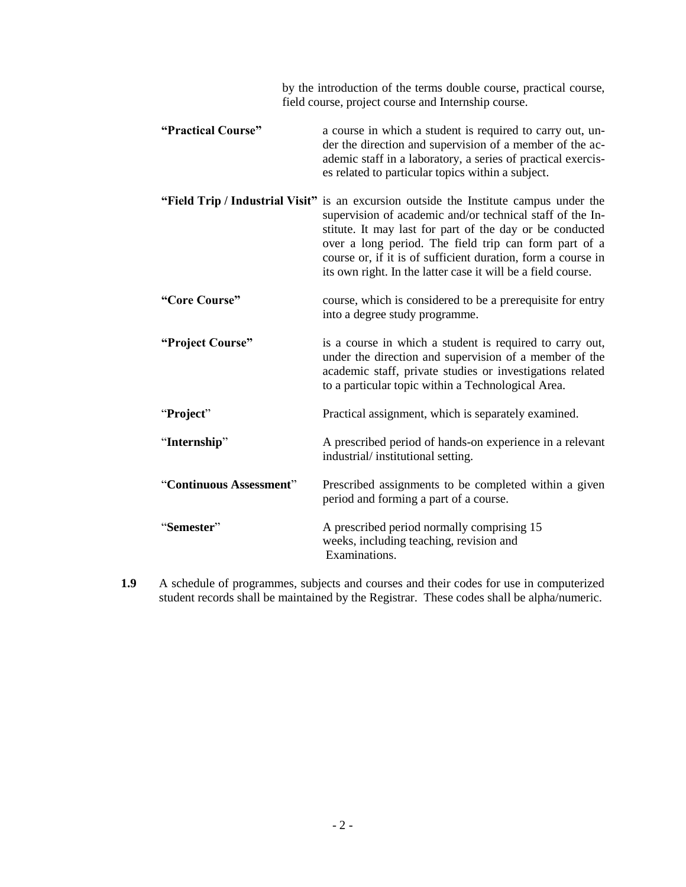| by the introduction of the terms double course, practical course,<br>field course, project course and Internship course. |                                                                                                                                                                                                                                                                                                                                                                                                          |  |
|--------------------------------------------------------------------------------------------------------------------------|----------------------------------------------------------------------------------------------------------------------------------------------------------------------------------------------------------------------------------------------------------------------------------------------------------------------------------------------------------------------------------------------------------|--|
| "Practical Course"                                                                                                       | a course in which a student is required to carry out, un-<br>der the direction and supervision of a member of the ac-<br>ademic staff in a laboratory, a series of practical exercis-<br>es related to particular topics within a subject.                                                                                                                                                               |  |
|                                                                                                                          | "Field Trip / Industrial Visit" is an excursion outside the Institute campus under the<br>supervision of academic and/or technical staff of the In-<br>stitute. It may last for part of the day or be conducted<br>over a long period. The field trip can form part of a<br>course or, if it is of sufficient duration, form a course in<br>its own right. In the latter case it will be a field course. |  |
| "Core Course"                                                                                                            | course, which is considered to be a prerequisite for entry<br>into a degree study programme.                                                                                                                                                                                                                                                                                                             |  |
| "Project Course"                                                                                                         | is a course in which a student is required to carry out,<br>under the direction and supervision of a member of the<br>academic staff, private studies or investigations related<br>to a particular topic within a Technological Area.                                                                                                                                                                    |  |
| "Project"                                                                                                                | Practical assignment, which is separately examined.                                                                                                                                                                                                                                                                                                                                                      |  |
| "Internship"                                                                                                             | A prescribed period of hands-on experience in a relevant<br>industrial/institutional setting.                                                                                                                                                                                                                                                                                                            |  |
| "Continuous Assessment"                                                                                                  | Prescribed assignments to be completed within a given<br>period and forming a part of a course.                                                                                                                                                                                                                                                                                                          |  |
| "Semester"                                                                                                               | A prescribed period normally comprising 15<br>weeks, including teaching, revision and<br>Examinations.                                                                                                                                                                                                                                                                                                   |  |

**1.9** A schedule of programmes, subjects and courses and their codes for use in computerized student records shall be maintained by the Registrar. These codes shall be alpha/numeric.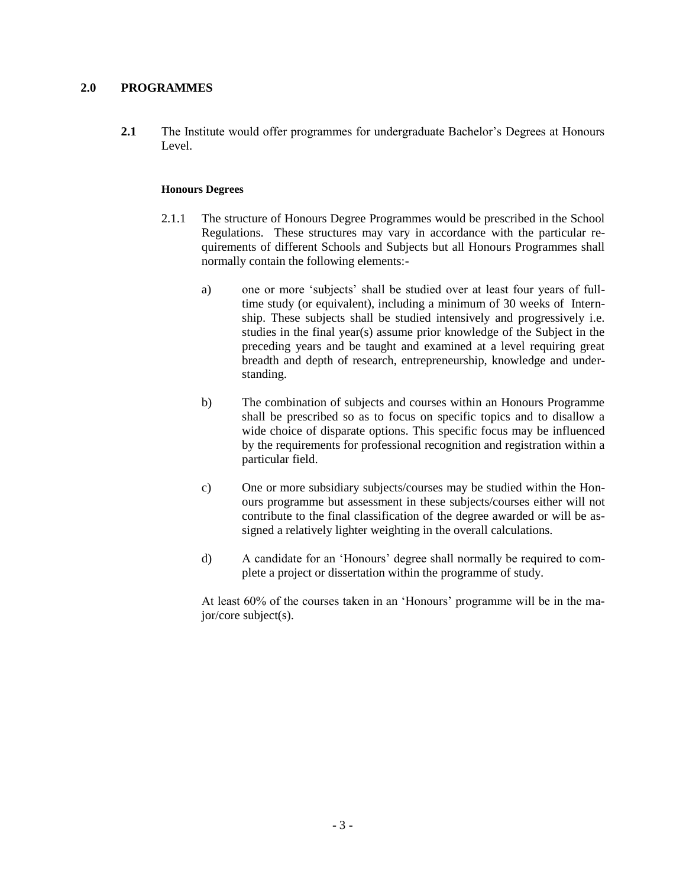# **2.0 PROGRAMMES**

**2.1** The Institute would offer programmes for undergraduate Bachelor's Degrees at Honours Level.

#### **Honours Degrees**

- 2.1.1 The structure of Honours Degree Programmes would be prescribed in the School Regulations. These structures may vary in accordance with the particular requirements of different Schools and Subjects but all Honours Programmes shall normally contain the following elements:
	- a) one or more 'subjects' shall be studied over at least four years of fulltime study (or equivalent), including a minimum of 30 weeks of Internship. These subjects shall be studied intensively and progressively i.e. studies in the final year(s) assume prior knowledge of the Subject in the preceding years and be taught and examined at a level requiring great breadth and depth of research, entrepreneurship, knowledge and understanding.
	- b) The combination of subjects and courses within an Honours Programme shall be prescribed so as to focus on specific topics and to disallow a wide choice of disparate options. This specific focus may be influenced by the requirements for professional recognition and registration within a particular field.
	- c) One or more subsidiary subjects/courses may be studied within the Honours programme but assessment in these subjects/courses either will not contribute to the final classification of the degree awarded or will be assigned a relatively lighter weighting in the overall calculations.
	- d) A candidate for an 'Honours' degree shall normally be required to complete a project or dissertation within the programme of study.

At least 60% of the courses taken in an 'Honours' programme will be in the major/core subject(s).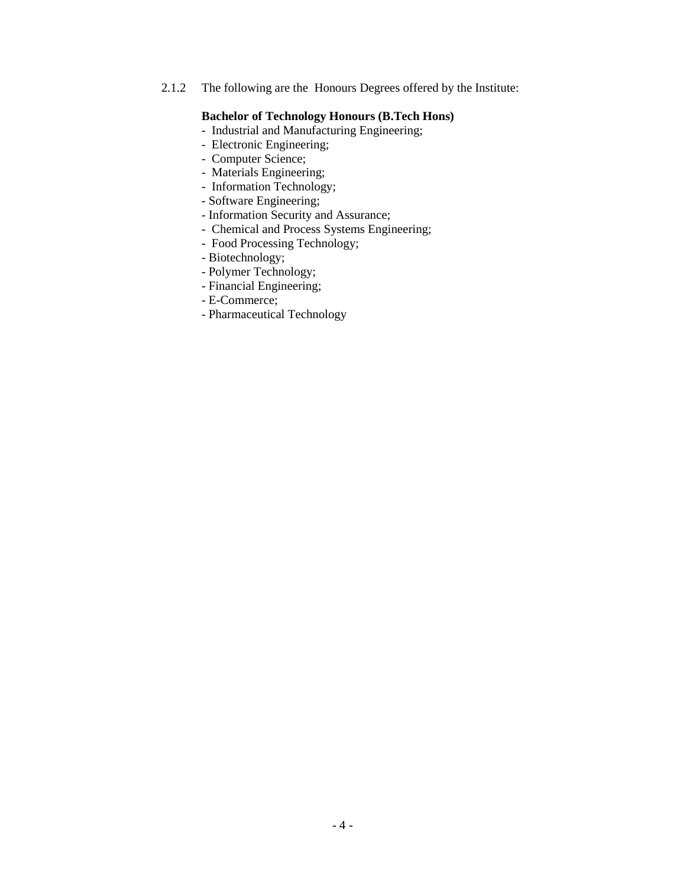2.1.2 The following are the Honours Degrees offered by the Institute:

## **Bachelor of Technology Honours (B.Tech Hons)**

- Industrial and Manufacturing Engineering;
- Electronic Engineering;
- Computer Science;
- Materials Engineering;
- Information Technology;
- Software Engineering;
- Information Security and Assurance;
- Chemical and Process Systems Engineering;
- Food Processing Technology;
- Biotechnology;
- Polymer Technology;
- Financial Engineering;
- E-Commerce;
- Pharmaceutical Technology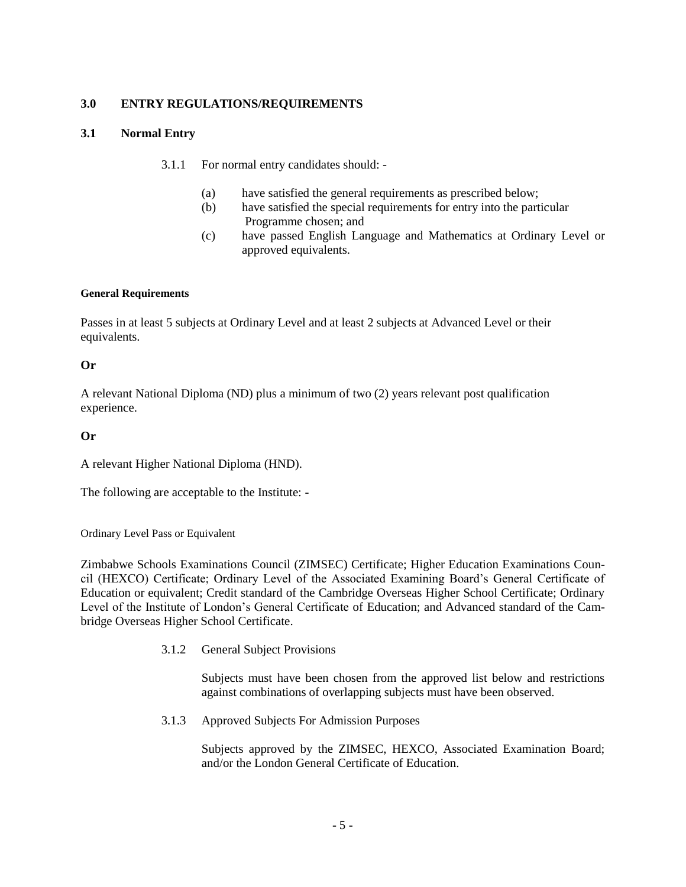# **3.0 ENTRY REGULATIONS/REQUIREMENTS**

# **3.1 Normal Entry**

- 3.1.1 For normal entry candidates should:
	- (a) have satisfied the general requirements as prescribed below;
	- (b) have satisfied the special requirements for entry into the particular Programme chosen; and
	- (c) have passed English Language and Mathematics at Ordinary Level or approved equivalents.

#### **General Requirements**

Passes in at least 5 subjects at Ordinary Level and at least 2 subjects at Advanced Level or their equivalents.

# **Or**

A relevant National Diploma (ND) plus a minimum of two (2) years relevant post qualification experience.

# **Or**

A relevant Higher National Diploma (HND).

The following are acceptable to the Institute: -

Ordinary Level Pass or Equivalent

Zimbabwe Schools Examinations Council (ZIMSEC) Certificate; Higher Education Examinations Council (HEXCO) Certificate; Ordinary Level of the Associated Examining Board's General Certificate of Education or equivalent; Credit standard of the Cambridge Overseas Higher School Certificate; Ordinary Level of the Institute of London's General Certificate of Education; and Advanced standard of the Cambridge Overseas Higher School Certificate.

3.1.2 General Subject Provisions

Subjects must have been chosen from the approved list below and restrictions against combinations of overlapping subjects must have been observed.

3.1.3 Approved Subjects For Admission Purposes

Subjects approved by the ZIMSEC, HEXCO, Associated Examination Board; and/or the London General Certificate of Education.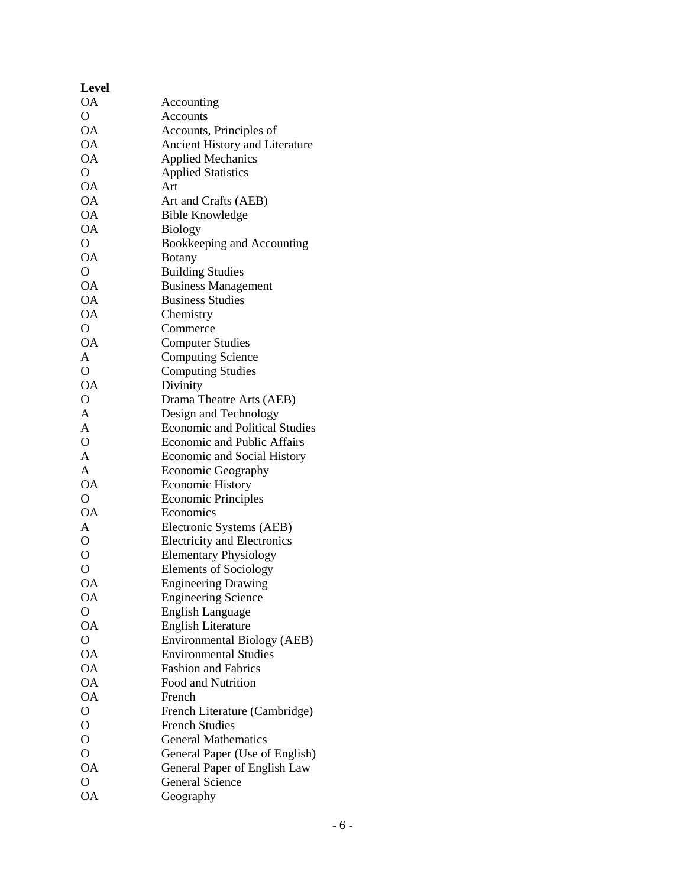| <b>Level</b>           |                                                             |
|------------------------|-------------------------------------------------------------|
| ОA                     | Accounting                                                  |
| $\overline{O}$         | Accounts                                                    |
| <b>OA</b>              | Accounts, Principles of                                     |
| <b>OA</b>              | Ancient History and Literature                              |
| <b>OA</b>              | <b>Applied Mechanics</b>                                    |
| O                      | <b>Applied Statistics</b>                                   |
| <b>OA</b>              | Art                                                         |
| <b>OA</b>              | Art and Crafts (AEB)                                        |
| <b>OA</b>              | <b>Bible Knowledge</b>                                      |
| <b>OA</b>              | <b>Biology</b>                                              |
| $\overline{O}$         | Bookkeeping and Accounting                                  |
| <b>OA</b>              | <b>Botany</b>                                               |
| $\overline{O}$         | <b>Building Studies</b>                                     |
| <b>OA</b>              | <b>Business Management</b>                                  |
| <b>OA</b>              | <b>Business Studies</b>                                     |
| <b>OA</b>              | Chemistry                                                   |
| O                      | Commerce                                                    |
| <b>OA</b>              | <b>Computer Studies</b>                                     |
| A                      | <b>Computing Science</b>                                    |
| $\overline{O}$         | <b>Computing Studies</b>                                    |
| <b>OA</b>              | Divinity                                                    |
| $\mathcal{O}$          | Drama Theatre Arts (AEB)                                    |
| $\overline{A}$         | Design and Technology                                       |
| A                      | <b>Economic and Political Studies</b>                       |
| $\mathbf{O}$           | <b>Economic and Public Affairs</b>                          |
| A                      | <b>Economic and Social History</b>                          |
| A                      | <b>Economic Geography</b>                                   |
| <b>OA</b>              | <b>Economic History</b>                                     |
| $\overline{O}$         | <b>Economic Principles</b>                                  |
| <b>OA</b>              | Economics                                                   |
| A                      |                                                             |
| $\overline{O}$         | Electronic Systems (AEB)                                    |
| $\overline{O}$         | <b>Electricity and Electronics</b>                          |
|                        | <b>Elementary Physiology</b>                                |
| O                      | <b>Elements of Sociology</b>                                |
| <b>OA</b><br><b>OA</b> | <b>Engineering Drawing</b>                                  |
| $\overline{O}$         | <b>Engineering Science</b>                                  |
| <b>OA</b>              | <b>English Language</b>                                     |
| $\overline{O}$         | <b>English Literature</b>                                   |
|                        | Environmental Biology (AEB)<br><b>Environmental Studies</b> |
| <b>OA</b>              |                                                             |
| <b>OA</b>              | <b>Fashion and Fabrics</b>                                  |
| <b>OA</b>              | Food and Nutrition                                          |
| <b>OA</b>              | French                                                      |
| $\overline{O}$         | French Literature (Cambridge)                               |
| $\overline{O}$         | <b>French Studies</b>                                       |
| $\overline{O}$         | <b>General Mathematics</b>                                  |
| $\overline{O}$         | General Paper (Use of English)                              |
| <b>OA</b>              | General Paper of English Law                                |
| $\overline{O}$         | <b>General Science</b>                                      |
| <b>OA</b>              | Geography                                                   |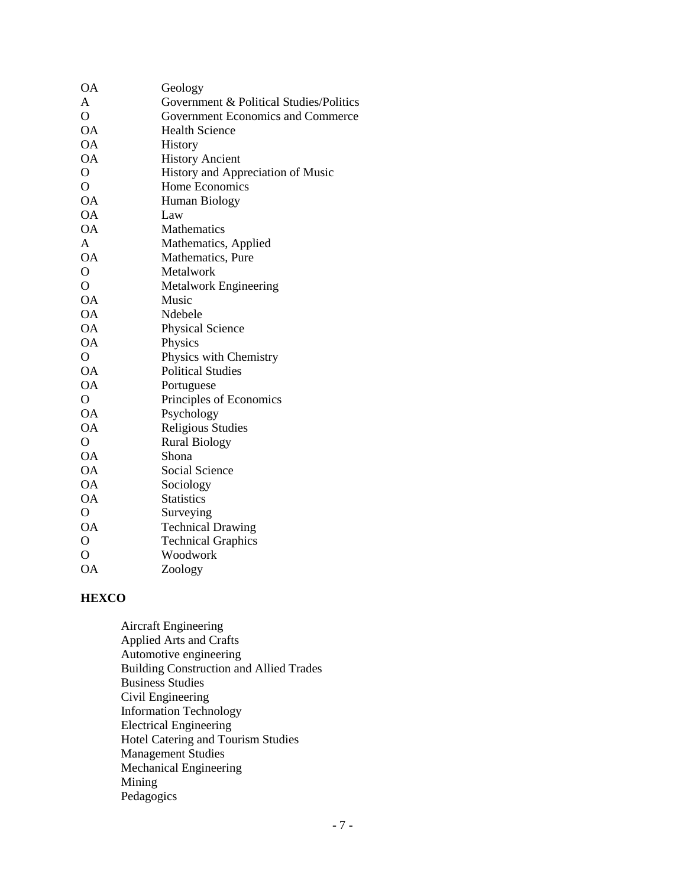| <b>OA</b>      | Geology                                 |
|----------------|-----------------------------------------|
| A              | Government & Political Studies/Politics |
| $\overline{O}$ | Government Economics and Commerce       |
| <b>OA</b>      | <b>Health Science</b>                   |
| <b>OA</b>      | History                                 |
| <b>OA</b>      | <b>History Ancient</b>                  |
| $\mathbf{O}$   | History and Appreciation of Music       |
| $\overline{O}$ | Home Economics                          |
| <b>OA</b>      | Human Biology                           |
| <b>OA</b>      | Law                                     |
| <b>OA</b>      | <b>Mathematics</b>                      |
| A              | Mathematics, Applied                    |
| <b>OA</b>      | Mathematics, Pure                       |
| $\mathbf{O}$   | Metalwork                               |
| $\overline{O}$ | Metalwork Engineering                   |
| <b>OA</b>      | Music                                   |
| ОA             | Ndebele                                 |
| ОA             | <b>Physical Science</b>                 |
| <b>OA</b>      | Physics                                 |
| $\mathbf{O}$   | Physics with Chemistry                  |
| <b>OA</b>      | <b>Political Studies</b>                |
| <b>OA</b>      | Portuguese                              |
| $\overline{O}$ | Principles of Economics                 |
| <b>OA</b>      | Psychology                              |
| <b>OA</b>      | <b>Religious Studies</b>                |
| $\mathbf O$    | <b>Rural Biology</b>                    |
| <b>OA</b>      | Shona                                   |
| <b>OA</b>      | Social Science                          |
| <b>OA</b>      | Sociology                               |
| <b>OA</b>      | <b>Statistics</b>                       |
| $\overline{O}$ | Surveying                               |
| <b>OA</b>      | <b>Technical Drawing</b>                |
| $\mathbf O$    | <b>Technical Graphics</b>               |
| $\overline{O}$ | Woodwork                                |
| <b>OA</b>      | Zoology                                 |

# **HEXCO**

Aircraft Engineering Applied Arts and Crafts Automotive engineering Building Construction and Allied Trades Business Studies Civil Engineering Information Technology Electrical Engineering Hotel Catering and Tourism Studies Management Studies Mechanical Engineering Mining Pedagogics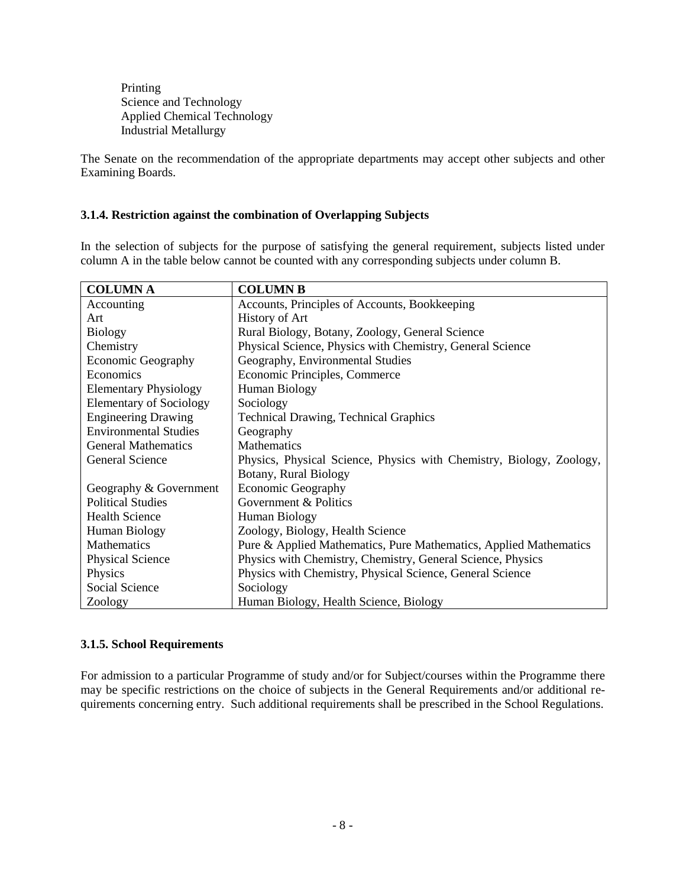Printing Science and Technology Applied Chemical Technology Industrial Metallurgy

The Senate on the recommendation of the appropriate departments may accept other subjects and other Examining Boards.

# **3.1.4. Restriction against the combination of Overlapping Subjects**

In the selection of subjects for the purpose of satisfying the general requirement, subjects listed under column A in the table below cannot be counted with any corresponding subjects under column B.

| <b>COLUMNA</b>                 | <b>COLUMN B</b>                                                      |
|--------------------------------|----------------------------------------------------------------------|
| Accounting                     | Accounts, Principles of Accounts, Bookkeeping                        |
| Art                            | <b>History of Art</b>                                                |
| <b>Biology</b>                 | Rural Biology, Botany, Zoology, General Science                      |
| Chemistry                      | Physical Science, Physics with Chemistry, General Science            |
| <b>Economic Geography</b>      | Geography, Environmental Studies                                     |
| Economics                      | Economic Principles, Commerce                                        |
| <b>Elementary Physiology</b>   | Human Biology                                                        |
| <b>Elementary of Sociology</b> | Sociology                                                            |
| <b>Engineering Drawing</b>     | <b>Technical Drawing, Technical Graphics</b>                         |
| <b>Environmental Studies</b>   | Geography                                                            |
| <b>General Mathematics</b>     | Mathematics                                                          |
| <b>General Science</b>         | Physics, Physical Science, Physics with Chemistry, Biology, Zoology, |
|                                | Botany, Rural Biology                                                |
| Geography & Government         | <b>Economic Geography</b>                                            |
| <b>Political Studies</b>       | Government & Politics                                                |
| <b>Health Science</b>          | Human Biology                                                        |
| Human Biology                  | Zoology, Biology, Health Science                                     |
| Mathematics                    | Pure & Applied Mathematics, Pure Mathematics, Applied Mathematics    |
| <b>Physical Science</b>        | Physics with Chemistry, Chemistry, General Science, Physics          |
| Physics                        | Physics with Chemistry, Physical Science, General Science            |
| Social Science                 | Sociology                                                            |
| Zoology                        | Human Biology, Health Science, Biology                               |

# **3.1.5. School Requirements**

For admission to a particular Programme of study and/or for Subject/courses within the Programme there may be specific restrictions on the choice of subjects in the General Requirements and/or additional requirements concerning entry. Such additional requirements shall be prescribed in the School Regulations.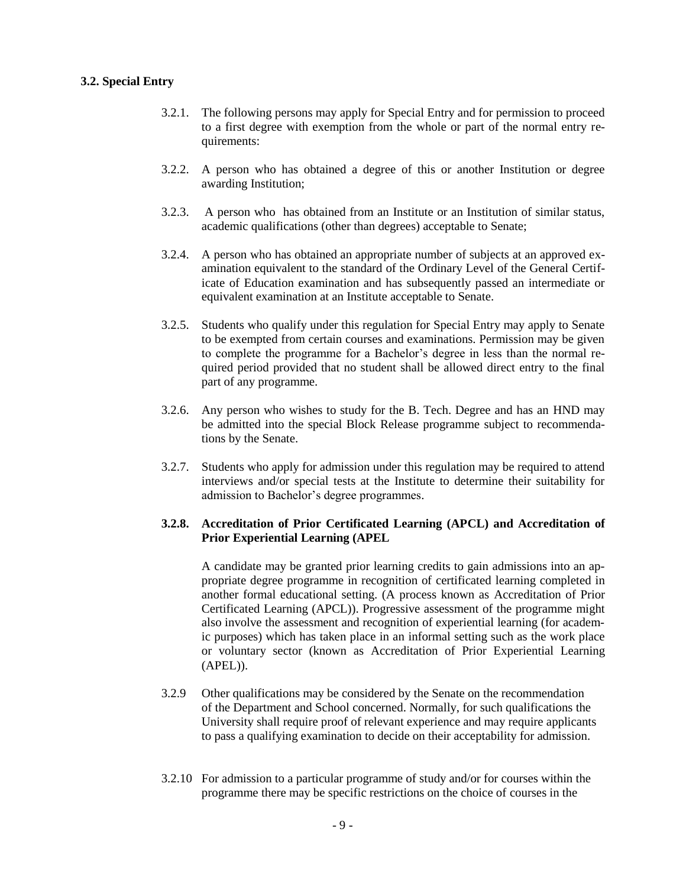#### **3.2. Special Entry**

- 3.2.1. The following persons may apply for Special Entry and for permission to proceed to a first degree with exemption from the whole or part of the normal entry requirements:
- 3.2.2. A person who has obtained a degree of this or another Institution or degree awarding Institution;
- 3.2.3. A person who has obtained from an Institute or an Institution of similar status, academic qualifications (other than degrees) acceptable to Senate;
- 3.2.4. A person who has obtained an appropriate number of subjects at an approved examination equivalent to the standard of the Ordinary Level of the General Certificate of Education examination and has subsequently passed an intermediate or equivalent examination at an Institute acceptable to Senate.
- 3.2.5. Students who qualify under this regulation for Special Entry may apply to Senate to be exempted from certain courses and examinations. Permission may be given to complete the programme for a Bachelor's degree in less than the normal required period provided that no student shall be allowed direct entry to the final part of any programme.
- 3.2.6. Any person who wishes to study for the B. Tech. Degree and has an HND may be admitted into the special Block Release programme subject to recommendations by the Senate.
- 3.2.7. Students who apply for admission under this regulation may be required to attend interviews and/or special tests at the Institute to determine their suitability for admission to Bachelor's degree programmes.

# **3.2.8. Accreditation of Prior Certificated Learning (APCL) and Accreditation of Prior Experiential Learning (APEL**

A candidate may be granted prior learning credits to gain admissions into an appropriate degree programme in recognition of certificated learning completed in another formal educational setting. (A process known as Accreditation of Prior Certificated Learning (APCL)). Progressive assessment of the programme might also involve the assessment and recognition of experiential learning (for academic purposes) which has taken place in an informal setting such as the work place or voluntary sector (known as Accreditation of Prior Experiential Learning (APEL)).

- 3.2.9 Other qualifications may be considered by the Senate on the recommendation of the Department and School concerned. Normally, for such qualifications the University shall require proof of relevant experience and may require applicants to pass a qualifying examination to decide on their acceptability for admission.
- 3.2.10 For admission to a particular programme of study and/or for courses within the programme there may be specific restrictions on the choice of courses in the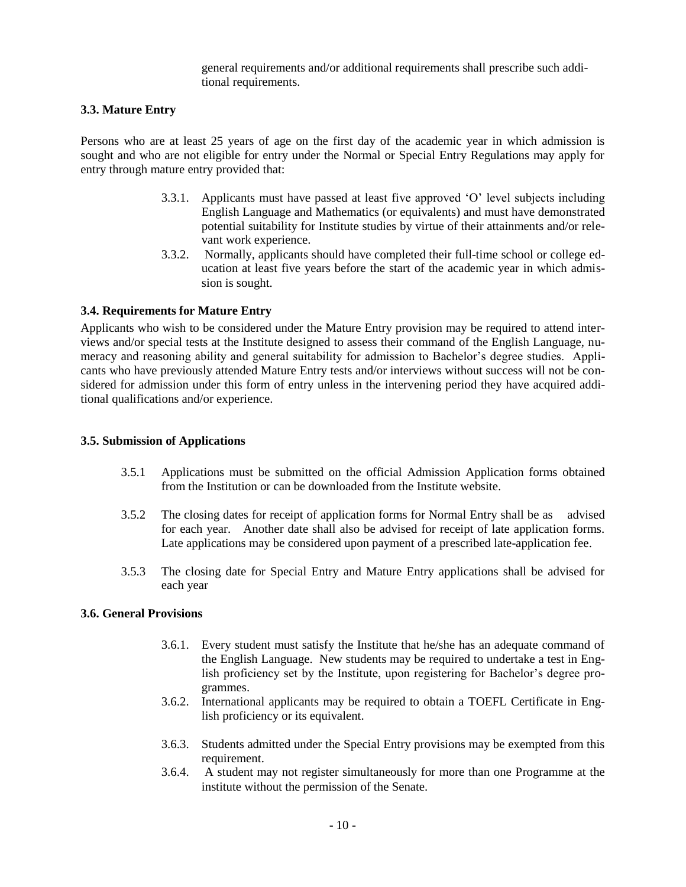general requirements and/or additional requirements shall prescribe such additional requirements.

#### **3.3. Mature Entry**

Persons who are at least 25 years of age on the first day of the academic year in which admission is sought and who are not eligible for entry under the Normal or Special Entry Regulations may apply for entry through mature entry provided that:

- 3.3.1. Applicants must have passed at least five approved 'O' level subjects including English Language and Mathematics (or equivalents) and must have demonstrated potential suitability for Institute studies by virtue of their attainments and/or relevant work experience.
- 3.3.2. Normally, applicants should have completed their full-time school or college education at least five years before the start of the academic year in which admission is sought.

# **3.4. Requirements for Mature Entry**

Applicants who wish to be considered under the Mature Entry provision may be required to attend interviews and/or special tests at the Institute designed to assess their command of the English Language, numeracy and reasoning ability and general suitability for admission to Bachelor's degree studies. Applicants who have previously attended Mature Entry tests and/or interviews without success will not be considered for admission under this form of entry unless in the intervening period they have acquired additional qualifications and/or experience.

#### **3.5. Submission of Applications**

- 3.5.1 Applications must be submitted on the official Admission Application forms obtained from the Institution or can be downloaded from the Institute website.
- 3.5.2 The closing dates for receipt of application forms for Normal Entry shall be as advised for each year. Another date shall also be advised for receipt of late application forms. Late applications may be considered upon payment of a prescribed late-application fee.
- 3.5.3 The closing date for Special Entry and Mature Entry applications shall be advised for each year

# **3.6. General Provisions**

- 3.6.1. Every student must satisfy the Institute that he/she has an adequate command of the English Language. New students may be required to undertake a test in English proficiency set by the Institute, upon registering for Bachelor's degree programmes.
- 3.6.2. International applicants may be required to obtain a TOEFL Certificate in English proficiency or its equivalent.
- 3.6.3. Students admitted under the Special Entry provisions may be exempted from this requirement.
- 3.6.4. A student may not register simultaneously for more than one Programme at the institute without the permission of the Senate.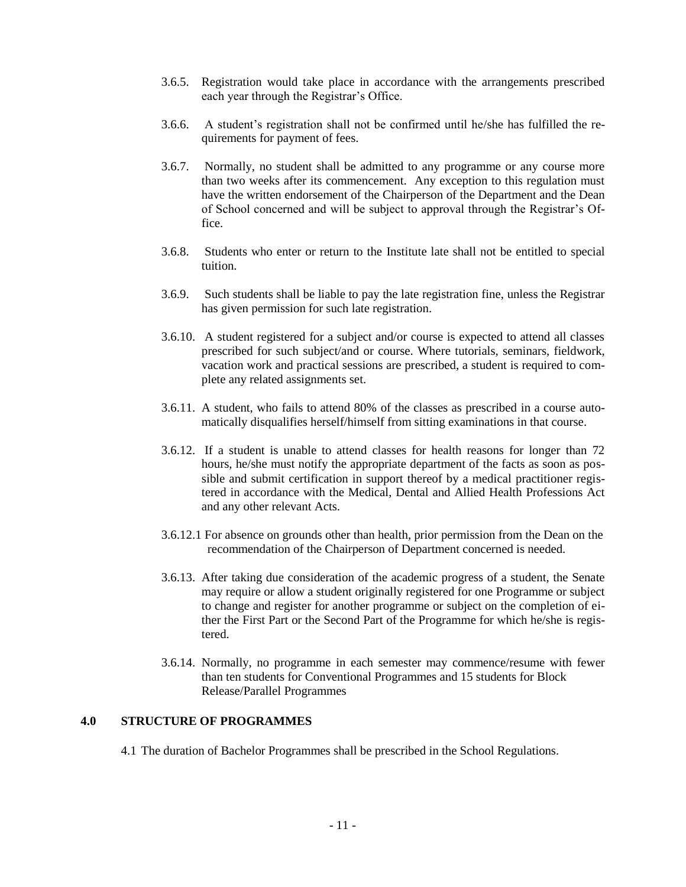- 3.6.5. Registration would take place in accordance with the arrangements prescribed each year through the Registrar's Office.
- 3.6.6. A student's registration shall not be confirmed until he/she has fulfilled the requirements for payment of fees.
- 3.6.7. Normally, no student shall be admitted to any programme or any course more than two weeks after its commencement. Any exception to this regulation must have the written endorsement of the Chairperson of the Department and the Dean of School concerned and will be subject to approval through the Registrar's Office.
- 3.6.8. Students who enter or return to the Institute late shall not be entitled to special tuition.
- 3.6.9. Such students shall be liable to pay the late registration fine, unless the Registrar has given permission for such late registration.
- 3.6.10. A student registered for a subject and/or course is expected to attend all classes prescribed for such subject/and or course. Where tutorials, seminars, fieldwork, vacation work and practical sessions are prescribed, a student is required to complete any related assignments set.
- 3.6.11. A student, who fails to attend 80% of the classes as prescribed in a course automatically disqualifies herself/himself from sitting examinations in that course.
- 3.6.12. If a student is unable to attend classes for health reasons for longer than 72 hours, he/she must notify the appropriate department of the facts as soon as possible and submit certification in support thereof by a medical practitioner registered in accordance with the Medical, Dental and Allied Health Professions Act and any other relevant Acts.
- 3.6.12.1 For absence on grounds other than health, prior permission from the Dean on the recommendation of the Chairperson of Department concerned is needed.
- 3.6.13. After taking due consideration of the academic progress of a student, the Senate may require or allow a student originally registered for one Programme or subject to change and register for another programme or subject on the completion of either the First Part or the Second Part of the Programme for which he/she is registered.
- 3.6.14. Normally, no programme in each semester may commence/resume with fewer than ten students for Conventional Programmes and 15 students for Block Release/Parallel Programmes

# **4.0 STRUCTURE OF PROGRAMMES**

4.1 The duration of Bachelor Programmes shall be prescribed in the School Regulations.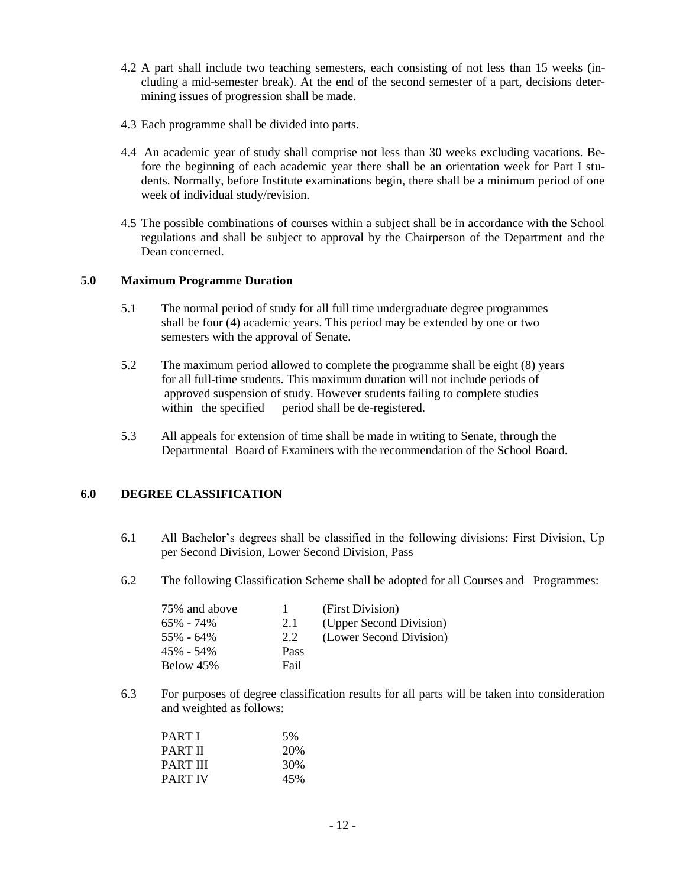- 4.2 A part shall include two teaching semesters, each consisting of not less than 15 weeks (including a mid-semester break). At the end of the second semester of a part, decisions determining issues of progression shall be made.
- 4.3 Each programme shall be divided into parts.
- 4.4 An academic year of study shall comprise not less than 30 weeks excluding vacations. Before the beginning of each academic year there shall be an orientation week for Part I students. Normally, before Institute examinations begin, there shall be a minimum period of one week of individual study/revision.
- 4.5 The possible combinations of courses within a subject shall be in accordance with the School regulations and shall be subject to approval by the Chairperson of the Department and the Dean concerned.

# **5.0 Maximum Programme Duration**

- 5.1 The normal period of study for all full time undergraduate degree programmes shall be four (4) academic years. This period may be extended by one or two semesters with the approval of Senate.
- 5.2 The maximum period allowed to complete the programme shall be eight (8) years for all full-time students. This maximum duration will not include periods of approved suspension of study. However students failing to complete studies within the specified period shall be de-registered. period shall be de-registered.
- 5.3 All appeals for extension of time shall be made in writing to Senate, through the Departmental Board of Examiners with the recommendation of the School Board.

# **6.0 DEGREE CLASSIFICATION**

- 6.1 All Bachelor's degrees shall be classified in the following divisions: First Division, Up per Second Division, Lower Second Division, Pass
- 6.2 The following Classification Scheme shall be adopted for all Courses and Programmes:

| 75% and above |      | (First Division)        |
|---------------|------|-------------------------|
| $65\% - 74\%$ | 2.1  | (Upper Second Division) |
| $55\% - 64\%$ | 2.2  | (Lower Second Division) |
| $45\% - 54\%$ | Pass |                         |
| Below 45%     | Fail |                         |

6.3 For purposes of degree classification results for all parts will be taken into consideration and weighted as follows:

| PART I   | .5% |
|----------|-----|
| PART II  | 20% |
| PART III | 30% |
| PART IV  | 45% |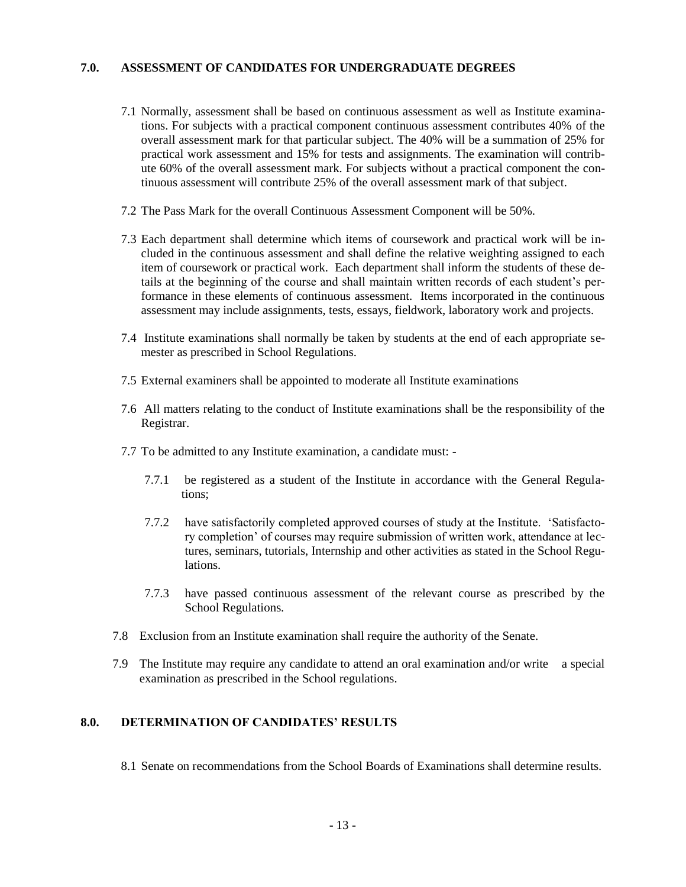#### **7.0. ASSESSMENT OF CANDIDATES FOR UNDERGRADUATE DEGREES**

- 7.1 Normally, assessment shall be based on continuous assessment as well as Institute examinations. For subjects with a practical component continuous assessment contributes 40% of the overall assessment mark for that particular subject. The 40% will be a summation of 25% for practical work assessment and 15% for tests and assignments. The examination will contribute 60% of the overall assessment mark. For subjects without a practical component the continuous assessment will contribute 25% of the overall assessment mark of that subject.
- 7.2 The Pass Mark for the overall Continuous Assessment Component will be 50%.
- 7.3 Each department shall determine which items of coursework and practical work will be included in the continuous assessment and shall define the relative weighting assigned to each item of coursework or practical work. Each department shall inform the students of these details at the beginning of the course and shall maintain written records of each student's performance in these elements of continuous assessment. Items incorporated in the continuous assessment may include assignments, tests, essays, fieldwork, laboratory work and projects.
- 7.4 Institute examinations shall normally be taken by students at the end of each appropriate semester as prescribed in School Regulations.
- 7.5 External examiners shall be appointed to moderate all Institute examinations
- 7.6 All matters relating to the conduct of Institute examinations shall be the responsibility of the Registrar.
- 7.7 To be admitted to any Institute examination, a candidate must:
	- 7.7.1 be registered as a student of the Institute in accordance with the General Regulations;
	- 7.7.2 have satisfactorily completed approved courses of study at the Institute. 'Satisfactory completion' of courses may require submission of written work, attendance at lectures, seminars, tutorials, Internship and other activities as stated in the School Regulations.
	- 7.7.3 have passed continuous assessment of the relevant course as prescribed by the School Regulations.
- 7.8 Exclusion from an Institute examination shall require the authority of the Senate.
- 7.9 The Institute may require any candidate to attend an oral examination and/or write a special examination as prescribed in the School regulations.

# **8.0. DETERMINATION OF CANDIDATES' RESULTS**

8.1 Senate on recommendations from the School Boards of Examinations shall determine results.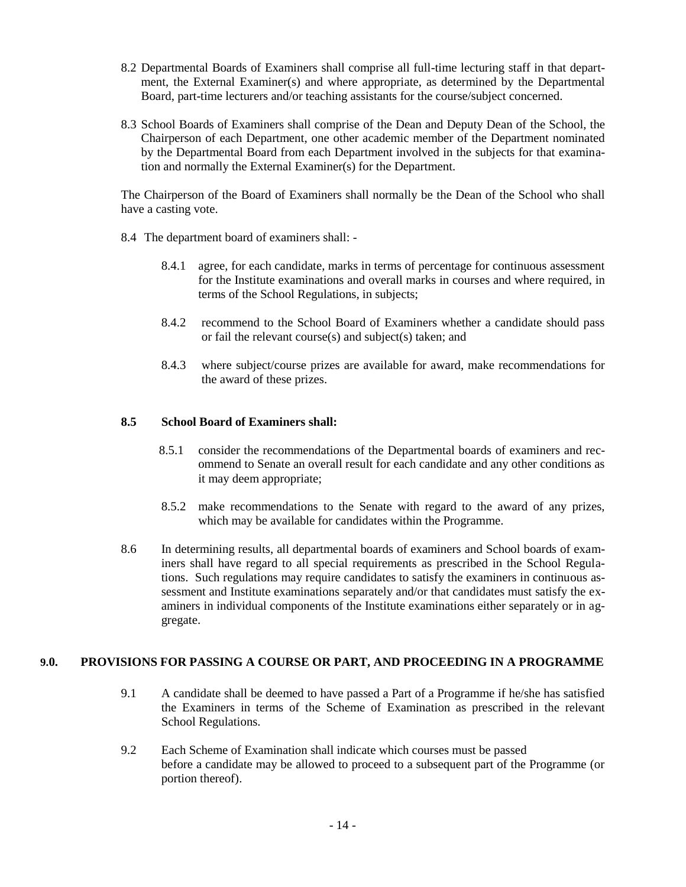- 8.2 Departmental Boards of Examiners shall comprise all full-time lecturing staff in that department, the External Examiner(s) and where appropriate, as determined by the Departmental Board, part-time lecturers and/or teaching assistants for the course/subject concerned.
- 8.3 School Boards of Examiners shall comprise of the Dean and Deputy Dean of the School, the Chairperson of each Department, one other academic member of the Department nominated by the Departmental Board from each Department involved in the subjects for that examination and normally the External Examiner(s) for the Department.

The Chairperson of the Board of Examiners shall normally be the Dean of the School who shall have a casting vote.

- 8.4 The department board of examiners shall:
	- 8.4.1 agree, for each candidate, marks in terms of percentage for continuous assessment for the Institute examinations and overall marks in courses and where required, in terms of the School Regulations, in subjects;
	- 8.4.2 recommend to the School Board of Examiners whether a candidate should pass or fail the relevant course(s) and subject(s) taken; and
	- 8.4.3 where subject/course prizes are available for award, make recommendations for the award of these prizes.

#### **8.5 School Board of Examiners shall:**

- 8.5.1 consider the recommendations of the Departmental boards of examiners and recommend to Senate an overall result for each candidate and any other conditions as it may deem appropriate;
- 8.5.2 make recommendations to the Senate with regard to the award of any prizes, which may be available for candidates within the Programme.
- 8.6 In determining results, all departmental boards of examiners and School boards of examiners shall have regard to all special requirements as prescribed in the School Regulations. Such regulations may require candidates to satisfy the examiners in continuous assessment and Institute examinations separately and/or that candidates must satisfy the examiners in individual components of the Institute examinations either separately or in aggregate.

#### **9.0. PROVISIONS FOR PASSING A COURSE OR PART, AND PROCEEDING IN A PROGRAMME**

- 9.1 A candidate shall be deemed to have passed a Part of a Programme if he/she has satisfied the Examiners in terms of the Scheme of Examination as prescribed in the relevant School Regulations.
- 9.2 Each Scheme of Examination shall indicate which courses must be passed before a candidate may be allowed to proceed to a subsequent part of the Programme (or portion thereof).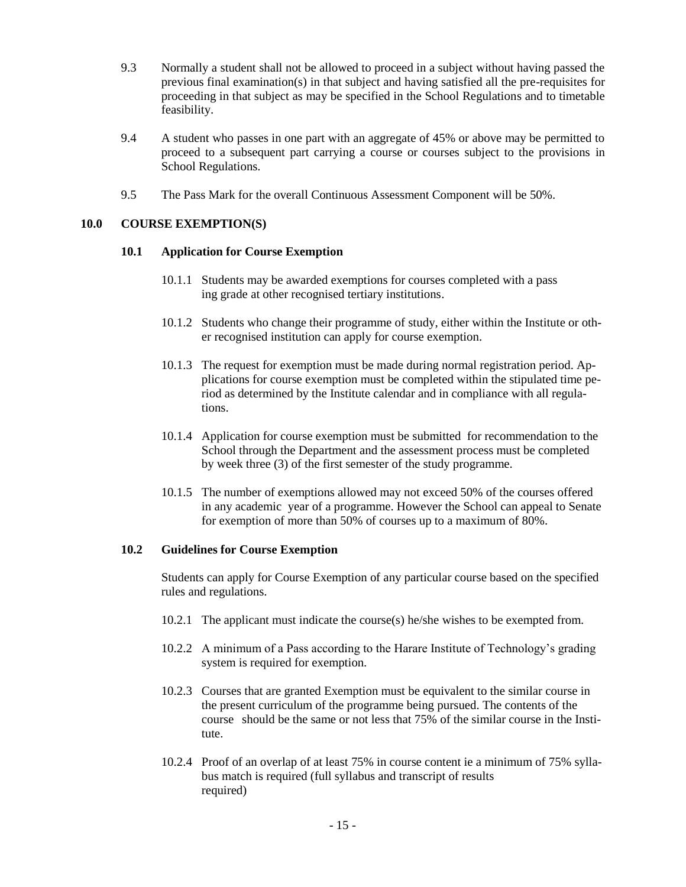- 9.3 Normally a student shall not be allowed to proceed in a subject without having passed the previous final examination(s) in that subject and having satisfied all the pre-requisites for proceeding in that subject as may be specified in the School Regulations and to timetable feasibility.
- 9.4 A student who passes in one part with an aggregate of 45% or above may be permitted to proceed to a subsequent part carrying a course or courses subject to the provisions in School Regulations.
- 9.5 The Pass Mark for the overall Continuous Assessment Component will be 50%.

#### **10.0 COURSE EXEMPTION(S)**

#### **10.1 Application for Course Exemption**

- 10.1.1 Students may be awarded exemptions for courses completed with a pass ing grade at other recognised tertiary institutions.
- 10.1.2 Students who change their programme of study, either within the Institute or other recognised institution can apply for course exemption.
- 10.1.3 The request for exemption must be made during normal registration period. Applications for course exemption must be completed within the stipulated time period as determined by the Institute calendar and in compliance with all regulations.
- 10.1.4 Application for course exemption must be submitted for recommendation to the School through the Department and the assessment process must be completed by week three (3) of the first semester of the study programme.
- 10.1.5 The number of exemptions allowed may not exceed 50% of the courses offered in any academic year of a programme. However the School can appeal to Senate for exemption of more than 50% of courses up to a maximum of 80%.

# **10.2 Guidelines for Course Exemption**

Students can apply for Course Exemption of any particular course based on the specified rules and regulations.

- 10.2.1 The applicant must indicate the course(s) he/she wishes to be exempted from.
- 10.2.2 A minimum of a Pass according to the Harare Institute of Technology's grading system is required for exemption.
- 10.2.3 Courses that are granted Exemption must be equivalent to the similar course in the present curriculum of the programme being pursued. The contents of the course should be the same or not less that 75% of the similar course in the Institute.
- 10.2.4 Proof of an overlap of at least 75% in course content ie a minimum of 75% syllabus match is required (full syllabus and transcript of results required)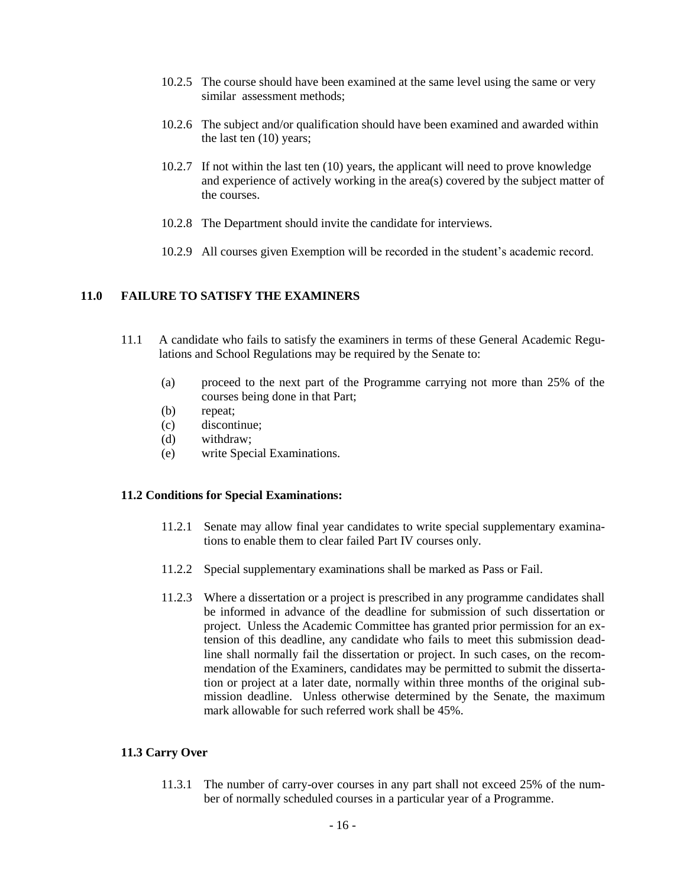- 10.2.5 The course should have been examined at the same level using the same or very similar assessment methods;
- 10.2.6 The subject and/or qualification should have been examined and awarded within the last ten (10) years;
- 10.2.7 If not within the last ten (10) years, the applicant will need to prove knowledge and experience of actively working in the area(s) covered by the subject matter of the courses.
- 10.2.8 The Department should invite the candidate for interviews.
- 10.2.9 All courses given Exemption will be recorded in the student's academic record.

# **11.0 FAILURE TO SATISFY THE EXAMINERS**

- 11.1 A candidate who fails to satisfy the examiners in terms of these General Academic Regulations and School Regulations may be required by the Senate to:
	- (a) proceed to the next part of the Programme carrying not more than 25% of the courses being done in that Part;
	- (b) repeat;
	- (c) discontinue;
	- (d) withdraw;
	- (e) write Special Examinations.

#### **11.2 Conditions for Special Examinations:**

- 11.2.1 Senate may allow final year candidates to write special supplementary examinations to enable them to clear failed Part IV courses only.
- 11.2.2 Special supplementary examinations shall be marked as Pass or Fail.
- 11.2.3 Where a dissertation or a project is prescribed in any programme candidates shall be informed in advance of the deadline for submission of such dissertation or project. Unless the Academic Committee has granted prior permission for an extension of this deadline, any candidate who fails to meet this submission deadline shall normally fail the dissertation or project. In such cases, on the recommendation of the Examiners, candidates may be permitted to submit the dissertation or project at a later date, normally within three months of the original submission deadline. Unless otherwise determined by the Senate, the maximum mark allowable for such referred work shall be 45%.

#### **11.3 Carry Over**

11.3.1 The number of carry-over courses in any part shall not exceed 25% of the number of normally scheduled courses in a particular year of a Programme.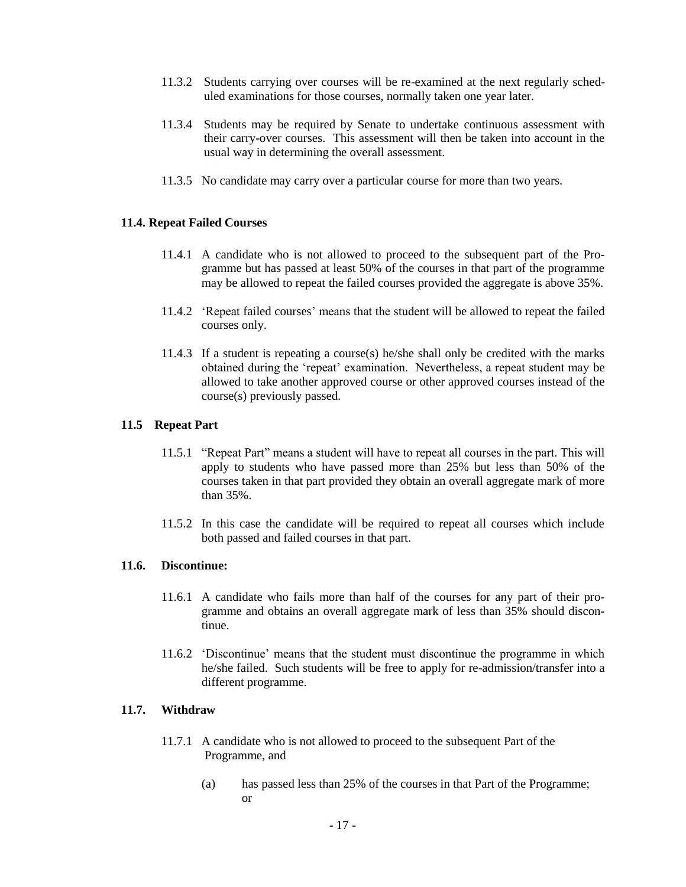- 11.3.2 Students carrying over courses will be re-examined at the next regularly scheduled examinations for those courses, normally taken one year later.
- 11.3.4 Students may be required by Senate to undertake continuous assessment with their carry-over courses. This assessment will then be taken into account in the usual way in determining the overall assessment.
- 11.3.5 No candidate may carry over a particular course for more than two years.

#### **11.4. Repeat Failed Courses**

- 11.4.1 A candidate who is not allowed to proceed to the subsequent part of the Programme but has passed at least 50% of the courses in that part of the programme may be allowed to repeat the failed courses provided the aggregate is above 35%.
- 11.4.2 'Repeat failed courses' means that the student will be allowed to repeat the failed courses only.
- 11.4.3 If a student is repeating a course(s) he/she shall only be credited with the marks obtained during the 'repeat' examination. Nevertheless, a repeat student may be allowed to take another approved course or other approved courses instead of the course(s) previously passed.

#### **11.5 Repeat Part**

- 11.5.1 "Repeat Part" means a student will have to repeat all courses in the part. This will apply to students who have passed more than 25% but less than 50% of the courses taken in that part provided they obtain an overall aggregate mark of more than 35%.
- 11.5.2 In this case the candidate will be required to repeat all courses which include both passed and failed courses in that part.

#### **11.6. Discontinue:**

- 11.6.1 A candidate who fails more than half of the courses for any part of their programme and obtains an overall aggregate mark of less than 35% should discontinue.
- 11.6.2 'Discontinue' means that the student must discontinue the programme in which he/she failed. Such students will be free to apply for re-admission/transfer into a different programme.

#### **11.7. Withdraw**

- 11.7.1 A candidate who is not allowed to proceed to the subsequent Part of the Programme, and
	- (a) has passed less than 25% of the courses in that Part of the Programme; or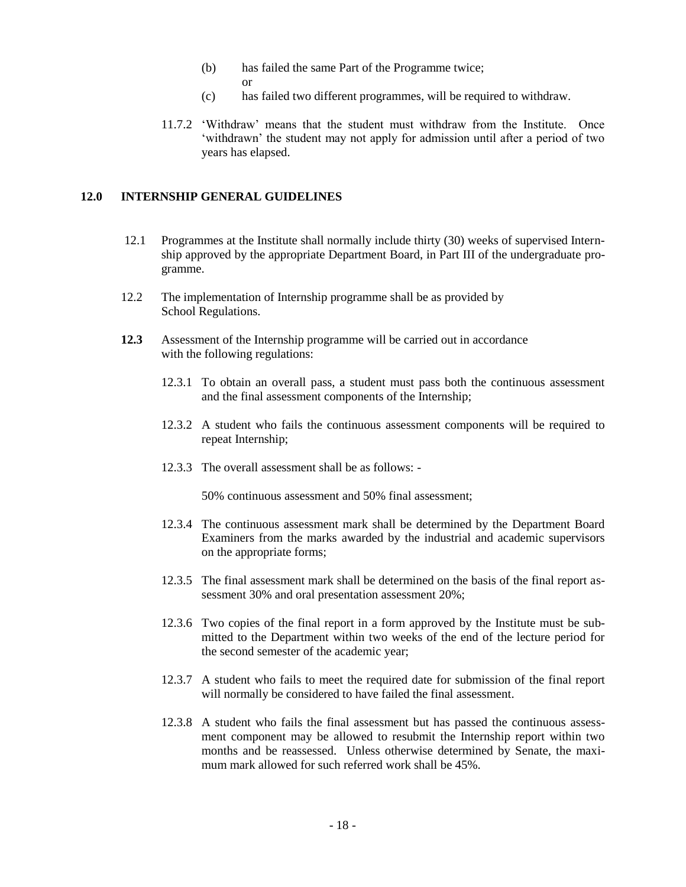- (b) has failed the same Part of the Programme twice; or
- (c) has failed two different programmes, will be required to withdraw.
- 11.7.2 'Withdraw' means that the student must withdraw from the Institute. Once 'withdrawn' the student may not apply for admission until after a period of two years has elapsed.

# **12.0 INTERNSHIP GENERAL GUIDELINES**

- 12.1Programmes at the Institute shall normally include thirty (30) weeks of supervised Internship approved by the appropriate Department Board, in Part III of the undergraduate programme.
- 12.2 The implementation of Internship programme shall be as provided by School Regulations.
- **12.3** Assessment of the Internship programme will be carried out in accordance with the following regulations:
	- 12.3.1 To obtain an overall pass, a student must pass both the continuous assessment and the final assessment components of the Internship;
	- 12.3.2 A student who fails the continuous assessment components will be required to repeat Internship;
	- 12.3.3 The overall assessment shall be as follows: -

50% continuous assessment and 50% final assessment;

- 12.3.4 The continuous assessment mark shall be determined by the Department Board Examiners from the marks awarded by the industrial and academic supervisors on the appropriate forms;
- 12.3.5 The final assessment mark shall be determined on the basis of the final report assessment 30% and oral presentation assessment 20%;
- 12.3.6 Two copies of the final report in a form approved by the Institute must be submitted to the Department within two weeks of the end of the lecture period for the second semester of the academic year;
- 12.3.7 A student who fails to meet the required date for submission of the final report will normally be considered to have failed the final assessment.
- 12.3.8 A student who fails the final assessment but has passed the continuous assessment component may be allowed to resubmit the Internship report within two months and be reassessed. Unless otherwise determined by Senate, the maximum mark allowed for such referred work shall be 45%.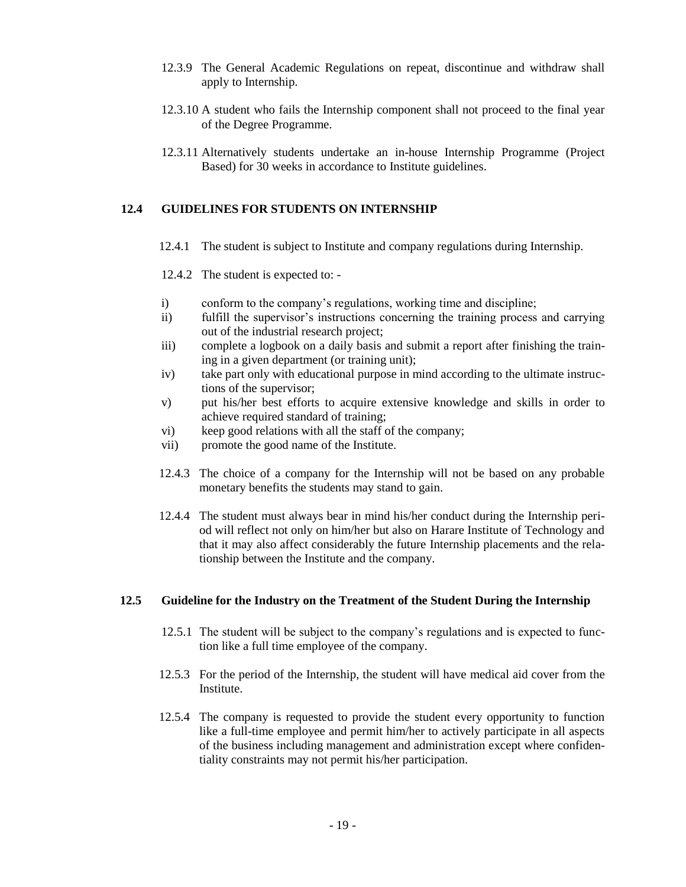- 12.3.9 The General Academic Regulations on repeat, discontinue and withdraw shall apply to Internship.
- 12.3.10 A student who fails the Internship component shall not proceed to the final year of the Degree Programme.
- 12.3.11 Alternatively students undertake an in-house Internship Programme (Project Based) for 30 weeks in accordance to Institute guidelines.

# **12.4 GUIDELINES FOR STUDENTS ON INTERNSHIP**

- 12.4.1 The student is subject to Institute and company regulations during Internship.
- 12.4.2 The student is expected to: -
- i) conform to the company's regulations, working time and discipline;
- ii) fulfill the supervisor's instructions concerning the training process and carrying out of the industrial research project;
- iii) complete a logbook on a daily basis and submit a report after finishing the training in a given department (or training unit);
- iv) take part only with educational purpose in mind according to the ultimate instructions of the supervisor;
- v) put his/her best efforts to acquire extensive knowledge and skills in order to achieve required standard of training;
- vi) keep good relations with all the staff of the company;
- vii) promote the good name of the Institute.
- 12.4.3 The choice of a company for the Internship will not be based on any probable monetary benefits the students may stand to gain.
- 12.4.4 The student must always bear in mind his/her conduct during the Internship period will reflect not only on him/her but also on Harare Institute of Technology and that it may also affect considerably the future Internship placements and the relationship between the Institute and the company.

# **12.5 Guideline for the Industry on the Treatment of the Student During the Internship**

- 12.5.1 The student will be subject to the company's regulations and is expected to function like a full time employee of the company.
- 12.5.3 For the period of the Internship, the student will have medical aid cover from the Institute.
- 12.5.4 The company is requested to provide the student every opportunity to function like a full-time employee and permit him/her to actively participate in all aspects of the business including management and administration except where confidentiality constraints may not permit his/her participation.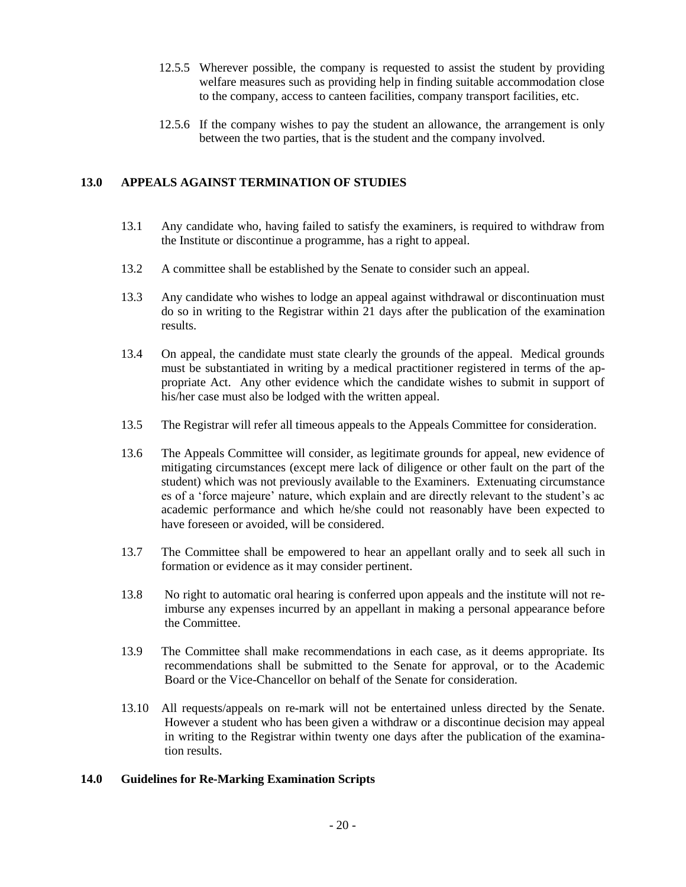- 12.5.5 Wherever possible, the company is requested to assist the student by providing welfare measures such as providing help in finding suitable accommodation close to the company, access to canteen facilities, company transport facilities, etc.
- 12.5.6 If the company wishes to pay the student an allowance, the arrangement is only between the two parties, that is the student and the company involved.

# **13.0 APPEALS AGAINST TERMINATION OF STUDIES**

- 13.1 Any candidate who, having failed to satisfy the examiners, is required to withdraw from the Institute or discontinue a programme, has a right to appeal.
- 13.2 A committee shall be established by the Senate to consider such an appeal.
- 13.3 Any candidate who wishes to lodge an appeal against withdrawal or discontinuation must do so in writing to the Registrar within 21 days after the publication of the examination results.
- 13.4 On appeal, the candidate must state clearly the grounds of the appeal. Medical grounds must be substantiated in writing by a medical practitioner registered in terms of the appropriate Act. Any other evidence which the candidate wishes to submit in support of his/her case must also be lodged with the written appeal.
- 13.5 The Registrar will refer all timeous appeals to the Appeals Committee for consideration.
- 13.6 The Appeals Committee will consider, as legitimate grounds for appeal, new evidence of mitigating circumstances (except mere lack of diligence or other fault on the part of the student) which was not previously available to the Examiners. Extenuating circumstance es of a 'force majeure' nature, which explain and are directly relevant to the student's ac academic performance and which he/she could not reasonably have been expected to have foreseen or avoided, will be considered.
- 13.7 The Committee shall be empowered to hear an appellant orally and to seek all such in formation or evidence as it may consider pertinent.
- 13.8 No right to automatic oral hearing is conferred upon appeals and the institute will not reimburse any expenses incurred by an appellant in making a personal appearance before the Committee.
- 13.9 The Committee shall make recommendations in each case, as it deems appropriate. Its recommendations shall be submitted to the Senate for approval, or to the Academic Board or the Vice-Chancellor on behalf of the Senate for consideration.
- 13.10 All requests/appeals on re-mark will not be entertained unless directed by the Senate. However a student who has been given a withdraw or a discontinue decision may appeal in writing to the Registrar within twenty one days after the publication of the examination results.

# **14.0 Guidelines for Re-Marking Examination Scripts**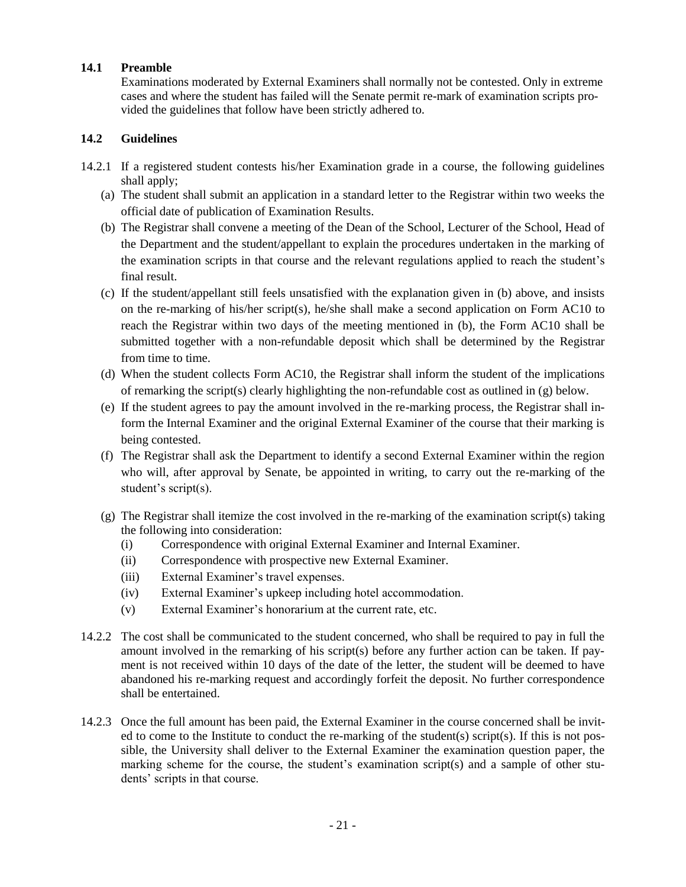# **14.1 Preamble**

Examinations moderated by External Examiners shall normally not be contested. Only in extreme cases and where the student has failed will the Senate permit re-mark of examination scripts provided the guidelines that follow have been strictly adhered to.

# **14.2 Guidelines**

- 14.2.1 If a registered student contests his/her Examination grade in a course, the following guidelines shall apply:
	- (a) The student shall submit an application in a standard letter to the Registrar within two weeks the official date of publication of Examination Results.
	- (b) The Registrar shall convene a meeting of the Dean of the School, Lecturer of the School, Head of the Department and the student/appellant to explain the procedures undertaken in the marking of the examination scripts in that course and the relevant regulations applied to reach the student's final result.
	- (c) If the student/appellant still feels unsatisfied with the explanation given in (b) above, and insists on the re-marking of his/her script(s), he/she shall make a second application on Form AC10 to reach the Registrar within two days of the meeting mentioned in (b), the Form AC10 shall be submitted together with a non-refundable deposit which shall be determined by the Registrar from time to time.
	- (d) When the student collects Form AC10, the Registrar shall inform the student of the implications of remarking the script(s) clearly highlighting the non-refundable cost as outlined in (g) below.
	- (e) If the student agrees to pay the amount involved in the re-marking process, the Registrar shall inform the Internal Examiner and the original External Examiner of the course that their marking is being contested.
	- (f) The Registrar shall ask the Department to identify a second External Examiner within the region who will, after approval by Senate, be appointed in writing, to carry out the re-marking of the student's script(s).
	- (g) The Registrar shall itemize the cost involved in the re-marking of the examination script(s) taking the following into consideration:
		- (i) Correspondence with original External Examiner and Internal Examiner.
		- (ii) Correspondence with prospective new External Examiner.
		- (iii) External Examiner's travel expenses.
		- (iv) External Examiner's upkeep including hotel accommodation.
		- (v) External Examiner's honorarium at the current rate, etc.
- 14.2.2 The cost shall be communicated to the student concerned, who shall be required to pay in full the amount involved in the remarking of his script(s) before any further action can be taken. If payment is not received within 10 days of the date of the letter, the student will be deemed to have abandoned his re-marking request and accordingly forfeit the deposit. No further correspondence shall be entertained.
- 14.2.3 Once the full amount has been paid, the External Examiner in the course concerned shall be invited to come to the Institute to conduct the re-marking of the student(s) script(s). If this is not possible, the University shall deliver to the External Examiner the examination question paper, the marking scheme for the course, the student's examination script(s) and a sample of other students' scripts in that course.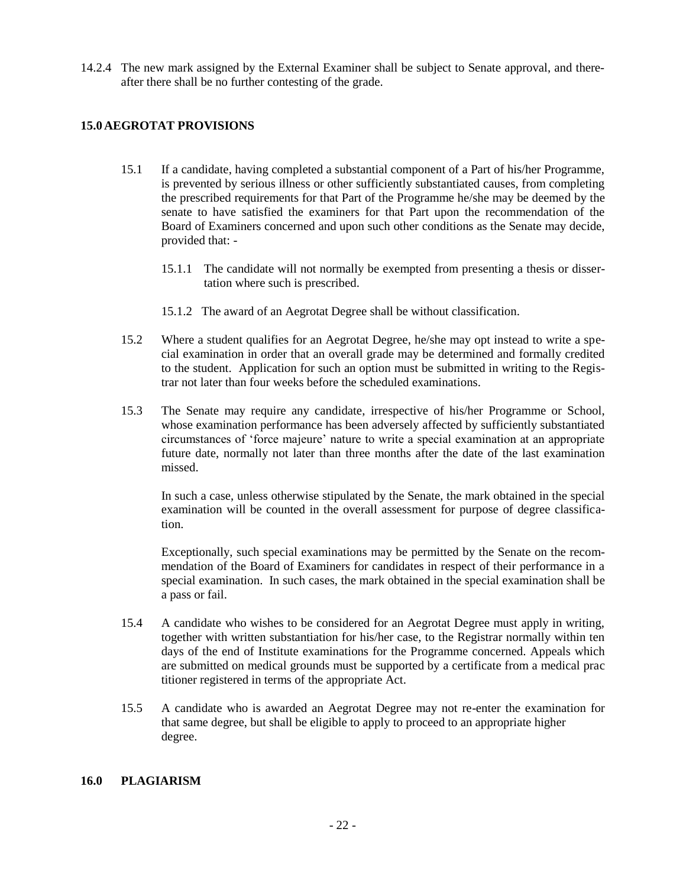14.2.4 The new mark assigned by the External Examiner shall be subject to Senate approval, and thereafter there shall be no further contesting of the grade.

# **15.0 AEGROTAT PROVISIONS**

- 15.1 If a candidate, having completed a substantial component of a Part of his/her Programme, is prevented by serious illness or other sufficiently substantiated causes, from completing the prescribed requirements for that Part of the Programme he/she may be deemed by the senate to have satisfied the examiners for that Part upon the recommendation of the Board of Examiners concerned and upon such other conditions as the Senate may decide, provided that: -
	- 15.1.1 The candidate will not normally be exempted from presenting a thesis or dissertation where such is prescribed.
	- 15.1.2 The award of an Aegrotat Degree shall be without classification.
- 15.2 Where a student qualifies for an Aegrotat Degree, he/she may opt instead to write a special examination in order that an overall grade may be determined and formally credited to the student. Application for such an option must be submitted in writing to the Registrar not later than four weeks before the scheduled examinations.
- 15.3 The Senate may require any candidate, irrespective of his/her Programme or School, whose examination performance has been adversely affected by sufficiently substantiated circumstances of 'force majeure' nature to write a special examination at an appropriate future date, normally not later than three months after the date of the last examination missed.

In such a case, unless otherwise stipulated by the Senate, the mark obtained in the special examination will be counted in the overall assessment for purpose of degree classification.

Exceptionally, such special examinations may be permitted by the Senate on the recommendation of the Board of Examiners for candidates in respect of their performance in a special examination. In such cases, the mark obtained in the special examination shall be a pass or fail.

- 15.4 A candidate who wishes to be considered for an Aegrotat Degree must apply in writing, together with written substantiation for his/her case, to the Registrar normally within ten days of the end of Institute examinations for the Programme concerned. Appeals which are submitted on medical grounds must be supported by a certificate from a medical prac titioner registered in terms of the appropriate Act.
- 15.5 A candidate who is awarded an Aegrotat Degree may not re-enter the examination for that same degree, but shall be eligible to apply to proceed to an appropriate higher degree.

# **16.0 PLAGIARISM**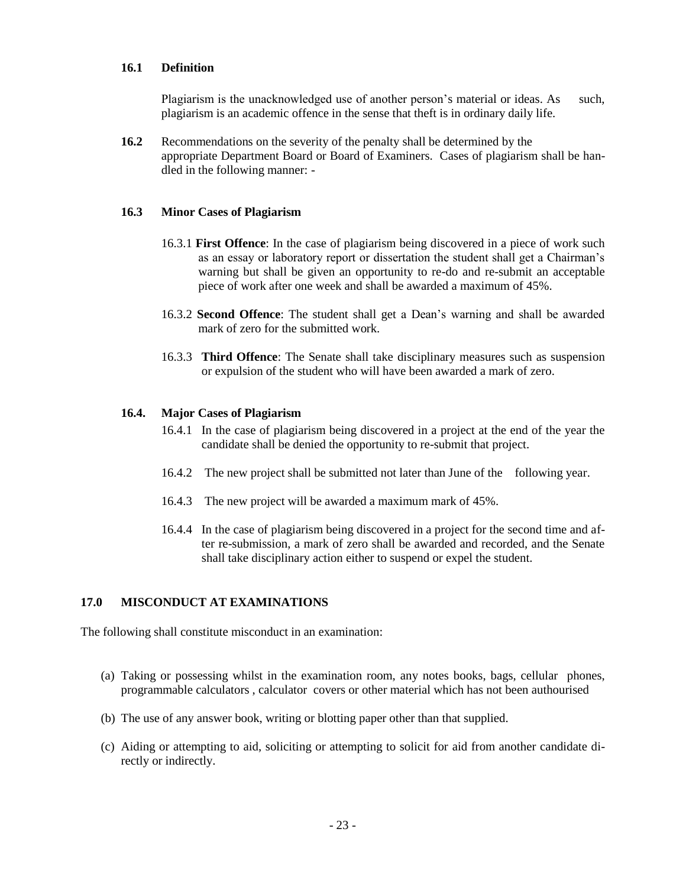# **16.1 Definition**

Plagiarism is the unacknowledged use of another person's material or ideas. As such, plagiarism is an academic offence in the sense that theft is in ordinary daily life.

**16.2** Recommendations on the severity of the penalty shall be determined by the appropriate Department Board or Board of Examiners. Cases of plagiarism shall be handled in the following manner: -

#### **16.3 Minor Cases of Plagiarism**

- 16.3.1 **First Offence**: In the case of plagiarism being discovered in a piece of work such as an essay or laboratory report or dissertation the student shall get a Chairman's warning but shall be given an opportunity to re-do and re-submit an acceptable piece of work after one week and shall be awarded a maximum of 45%.
- 16.3.2 **Second Offence**: The student shall get a Dean's warning and shall be awarded mark of zero for the submitted work.
- 16.3.3 **Third Offence**: The Senate shall take disciplinary measures such as suspension or expulsion of the student who will have been awarded a mark of zero.

#### **16.4. Major Cases of Plagiarism**

- 16.4.1 In the case of plagiarism being discovered in a project at the end of the year the candidate shall be denied the opportunity to re-submit that project.
- 16.4.2 The new project shall be submitted not later than June of the following year.
- 16.4.3 The new project will be awarded a maximum mark of 45%.
- 16.4.4 In the case of plagiarism being discovered in a project for the second time and after re-submission, a mark of zero shall be awarded and recorded, and the Senate shall take disciplinary action either to suspend or expel the student.

# **17.0 MISCONDUCT AT EXAMINATIONS**

The following shall constitute misconduct in an examination:

- (a) Taking or possessing whilst in the examination room, any notes books, bags, cellular phones, programmable calculators , calculator covers or other material which has not been authourised
- (b) The use of any answer book, writing or blotting paper other than that supplied.
- (c) Aiding or attempting to aid, soliciting or attempting to solicit for aid from another candidate directly or indirectly.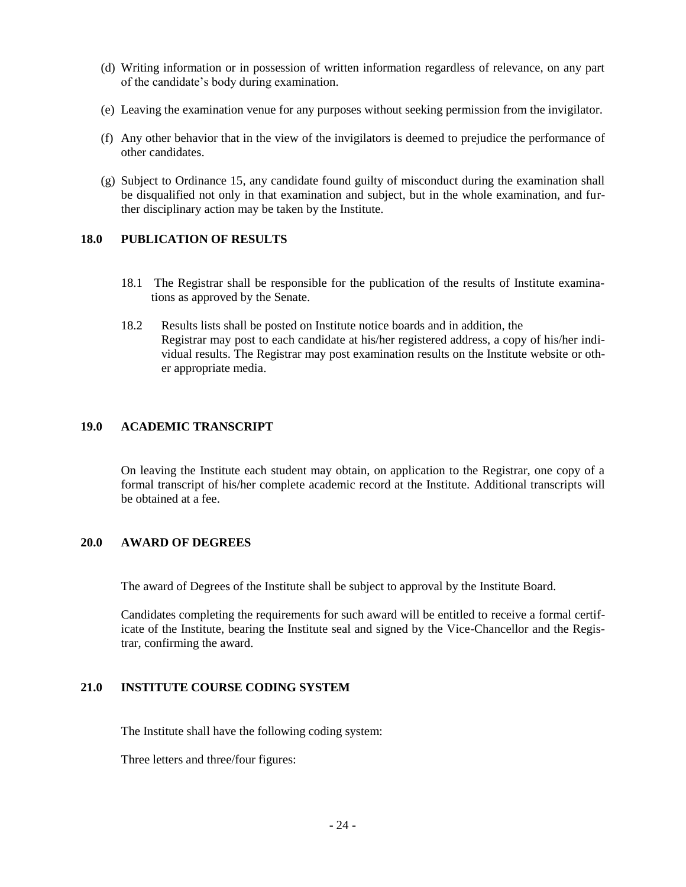- (d) Writing information or in possession of written information regardless of relevance, on any part of the candidate's body during examination.
- (e) Leaving the examination venue for any purposes without seeking permission from the invigilator.
- (f) Any other behavior that in the view of the invigilators is deemed to prejudice the performance of other candidates.
- (g) Subject to Ordinance 15, any candidate found guilty of misconduct during the examination shall be disqualified not only in that examination and subject, but in the whole examination, and further disciplinary action may be taken by the Institute.

# **18.0 PUBLICATION OF RESULTS**

- 18.1 The Registrar shall be responsible for the publication of the results of Institute examinations as approved by the Senate.
- 18.2Results lists shall be posted on Institute notice boards and in addition, the Registrar may post to each candidate at his/her registered address, a copy of his/her individual results. The Registrar may post examination results on the Institute website or other appropriate media.

#### **19.0 ACADEMIC TRANSCRIPT**

On leaving the Institute each student may obtain, on application to the Registrar, one copy of a formal transcript of his/her complete academic record at the Institute. Additional transcripts will be obtained at a fee.

# **20.0 AWARD OF DEGREES**

The award of Degrees of the Institute shall be subject to approval by the Institute Board.

Candidates completing the requirements for such award will be entitled to receive a formal certificate of the Institute, bearing the Institute seal and signed by the Vice-Chancellor and the Registrar, confirming the award.

# **21.0 INSTITUTE COURSE CODING SYSTEM**

The Institute shall have the following coding system:

Three letters and three/four figures: